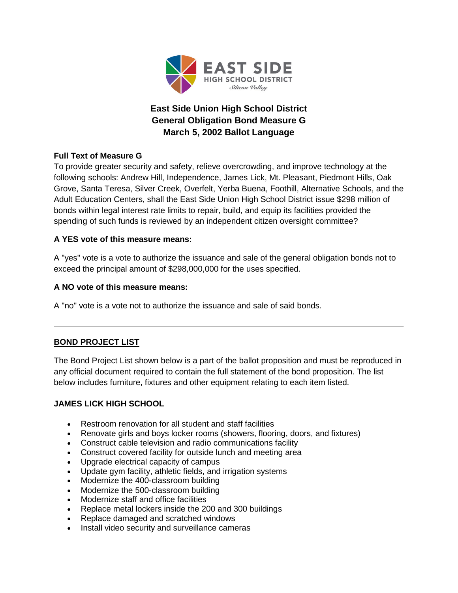

# **East Side Union High School District General Obligation Bond Measure G March 5, 2002 Ballot Language**

# **Full Text of Measure G**

To provide greater security and safety, relieve overcrowding, and improve technology at the following schools: Andrew Hill, Independence, James Lick, Mt. Pleasant, Piedmont Hills, Oak Grove, Santa Teresa, Silver Creek, Overfelt, Yerba Buena, Foothill, Alternative Schools, and the Adult Education Centers, shall the East Side Union High School District issue \$298 million of bonds within legal interest rate limits to repair, build, and equip its facilities provided the spending of such funds is reviewed by an independent citizen oversight committee?

# **A YES vote of this measure means:**

A "yes" vote is a vote to authorize the issuance and sale of the general obligation bonds not to exceed the principal amount of \$298,000,000 for the uses specified.

# **A NO vote of this measure means:**

A "no" vote is a vote not to authorize the issuance and sale of said bonds.

# **BOND PROJECT LIST**

The Bond Project List shown below is a part of the ballot proposition and must be reproduced in any official document required to contain the full statement of the bond proposition. The list below includes furniture, fixtures and other equipment relating to each item listed.

# **JAMES LICK HIGH SCHOOL**

- Restroom renovation for all student and staff facilities
- Renovate girls and boys locker rooms (showers, flooring, doors, and fixtures)
- Construct cable television and radio communications facility
- Construct covered facility for outside lunch and meeting area
- Upgrade electrical capacity of campus
- Update gym facility, athletic fields, and irrigation systems
- Modernize the 400-classroom building
- Modernize the 500-classroom building
- Modernize staff and office facilities
- Replace metal lockers inside the 200 and 300 buildings
- Replace damaged and scratched windows
- Install video security and surveillance cameras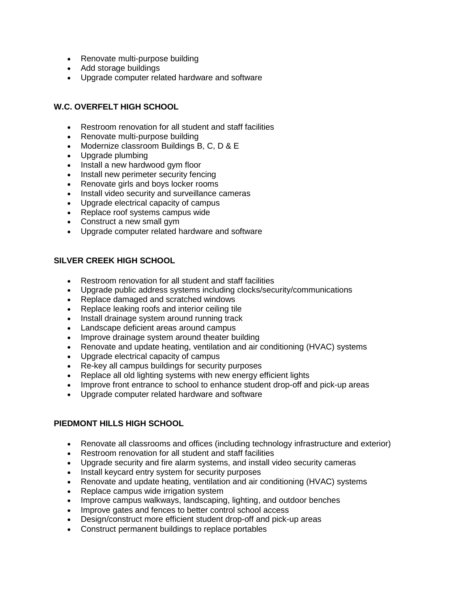- Renovate multi-purpose building
- Add storage buildings
- Upgrade computer related hardware and software

# **W.C. OVERFELT HIGH SCHOOL**

- Restroom renovation for all student and staff facilities
- Renovate multi-purpose building
- Modernize classroom Buildings B, C, D & E
- Upgrade plumbing
- Install a new hardwood gym floor
- Install new perimeter security fencing
- Renovate girls and boys locker rooms
- Install video security and surveillance cameras
- Upgrade electrical capacity of campus
- Replace roof systems campus wide
- Construct a new small gym
- Upgrade computer related hardware and software

# **SILVER CREEK HIGH SCHOOL**

- Restroom renovation for all student and staff facilities
- Upgrade public address systems including clocks/security/communications
- Replace damaged and scratched windows
- Replace leaking roofs and interior ceiling tile
- Install drainage system around running track
- Landscape deficient areas around campus
- Improve drainage system around theater building
- Renovate and update heating, ventilation and air conditioning (HVAC) systems
- Upgrade electrical capacity of campus
- Re-key all campus buildings for security purposes
- Replace all old lighting systems with new energy efficient lights
- Improve front entrance to school to enhance student drop-off and pick-up areas
- Upgrade computer related hardware and software

## **PIEDMONT HILLS HIGH SCHOOL**

- Renovate all classrooms and offices (including technology infrastructure and exterior)
- Restroom renovation for all student and staff facilities
- Upgrade security and fire alarm systems, and install video security cameras
- Install keycard entry system for security purposes
- Renovate and update heating, ventilation and air conditioning (HVAC) systems
- Replace campus wide irrigation system
- Improve campus walkways, landscaping, lighting, and outdoor benches
- Improve gates and fences to better control school access
- Design/construct more efficient student drop-off and pick-up areas
- Construct permanent buildings to replace portables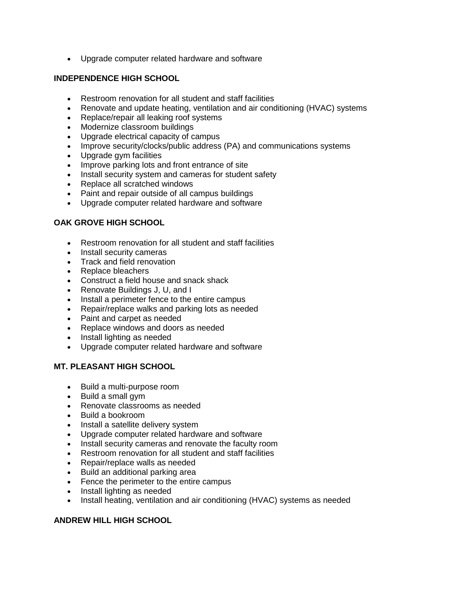• Upgrade computer related hardware and software

### **INDEPENDENCE HIGH SCHOOL**

- Restroom renovation for all student and staff facilities
- Renovate and update heating, ventilation and air conditioning (HVAC) systems
- Replace/repair all leaking roof systems
- Modernize classroom buildings
- Upgrade electrical capacity of campus
- Improve security/clocks/public address (PA) and communications systems
- Upgrade gym facilities
- Improve parking lots and front entrance of site
- Install security system and cameras for student safety
- Replace all scratched windows
- Paint and repair outside of all campus buildings
- Upgrade computer related hardware and software

#### **OAK GROVE HIGH SCHOOL**

- Restroom renovation for all student and staff facilities
- Install security cameras
- Track and field renovation
- Replace bleachers
- Construct a field house and snack shack
- Renovate Buildings J, U, and I
- Install a perimeter fence to the entire campus
- Repair/replace walks and parking lots as needed
- Paint and carpet as needed
- Replace windows and doors as needed
- Install lighting as needed
- Upgrade computer related hardware and software

## **MT. PLEASANT HIGH SCHOOL**

- Build a multi-purpose room
- Build a small gym
- Renovate classrooms as needed
- Build a bookroom
- Install a satellite delivery system
- Upgrade computer related hardware and software
- Install security cameras and renovate the faculty room
- Restroom renovation for all student and staff facilities
- Repair/replace walls as needed
- Build an additional parking area
- Fence the perimeter to the entire campus
- Install lighting as needed
- Install heating, ventilation and air conditioning (HVAC) systems as needed

## **ANDREW HILL HIGH SCHOOL**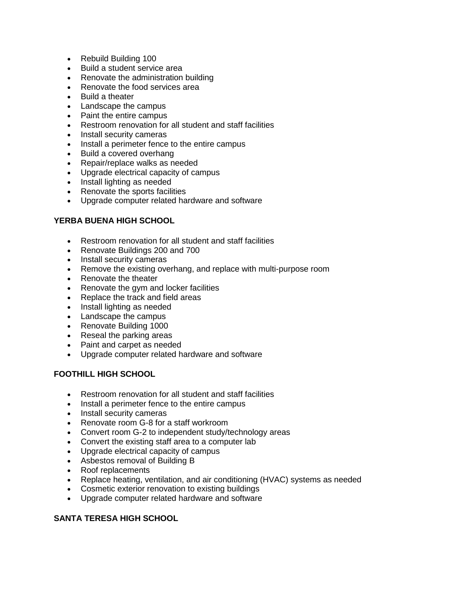- Rebuild Building 100
- Build a student service area
- Renovate the administration building
- Renovate the food services area
- Build a theater
- Landscape the campus
- Paint the entire campus
- Restroom renovation for all student and staff facilities
- Install security cameras
- Install a perimeter fence to the entire campus
- Build a covered overhang
- Repair/replace walks as needed
- Upgrade electrical capacity of campus
- Install lighting as needed
- Renovate the sports facilities
- Upgrade computer related hardware and software

## **YERBA BUENA HIGH SCHOOL**

- Restroom renovation for all student and staff facilities
- Renovate Buildings 200 and 700
- Install security cameras
- Remove the existing overhang, and replace with multi-purpose room
- Renovate the theater
- Renovate the gym and locker facilities
- Replace the track and field areas
- Install lighting as needed
- Landscape the campus
- Renovate Building 1000
- Reseal the parking areas
- Paint and carpet as needed
- Upgrade computer related hardware and software

## **FOOTHILL HIGH SCHOOL**

- Restroom renovation for all student and staff facilities
- Install a perimeter fence to the entire campus
- Install security cameras
- Renovate room G-8 for a staff workroom
- Convert room G-2 to independent study/technology areas
- Convert the existing staff area to a computer lab
- Upgrade electrical capacity of campus
- Asbestos removal of Building B
- Roof replacements
- Replace heating, ventilation, and air conditioning (HVAC) systems as needed
- Cosmetic exterior renovation to existing buildings
- Upgrade computer related hardware and software

## **SANTA TERESA HIGH SCHOOL**